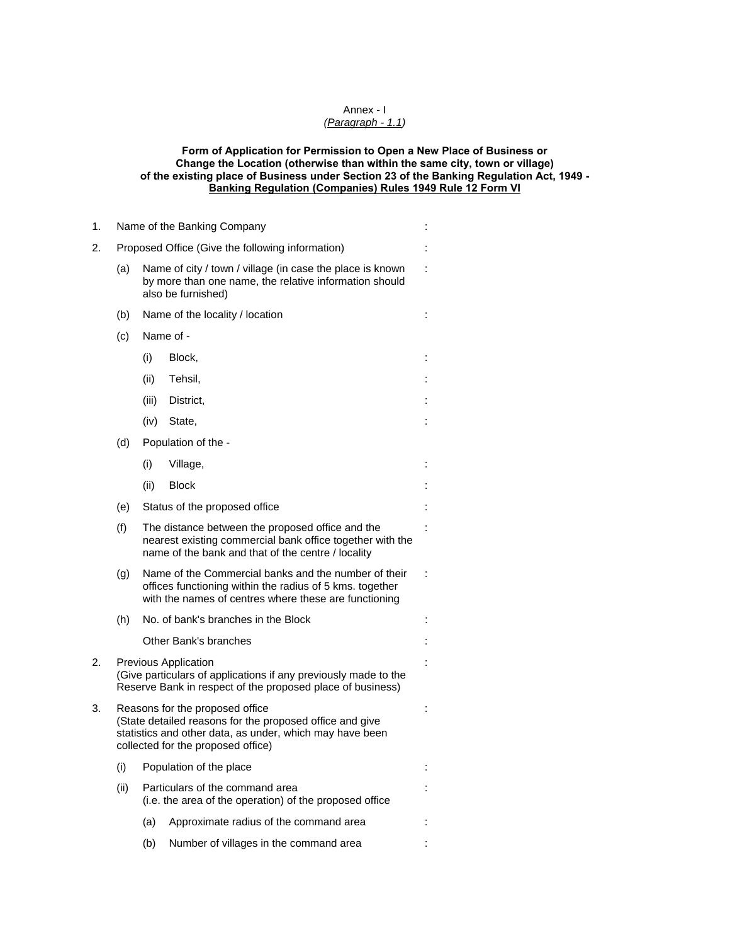## Annex - I

## *(Paragraph - 1.1)*

## **Form of Application for Permission to Open a New Place of Business or Change the Location (otherwise than within the same city, town or village) of the existing place of Business under Section 23 of the Banking Regulation Act, 1949 - Banking Regulation (Companies) Rules 1949 Rule 12 Form VI**

| 1. |                                                                                                                                                                                               | Name of the Banking Company                                                                                                                                               |                                        |  |  |  |  |
|----|-----------------------------------------------------------------------------------------------------------------------------------------------------------------------------------------------|---------------------------------------------------------------------------------------------------------------------------------------------------------------------------|----------------------------------------|--|--|--|--|
| 2. | Proposed Office (Give the following information)                                                                                                                                              |                                                                                                                                                                           |                                        |  |  |  |  |
|    | (a)                                                                                                                                                                                           | Name of city / town / village (in case the place is known<br>by more than one name, the relative information should<br>also be furnished)                                 |                                        |  |  |  |  |
|    | (b)                                                                                                                                                                                           | Name of the locality / location                                                                                                                                           |                                        |  |  |  |  |
|    | (c)                                                                                                                                                                                           | Name of -                                                                                                                                                                 |                                        |  |  |  |  |
|    |                                                                                                                                                                                               | (i)                                                                                                                                                                       | Block,                                 |  |  |  |  |
|    |                                                                                                                                                                                               | (ii)                                                                                                                                                                      | Tehsil,                                |  |  |  |  |
|    |                                                                                                                                                                                               | (iii)                                                                                                                                                                     | District,                              |  |  |  |  |
|    |                                                                                                                                                                                               | (iv)                                                                                                                                                                      | State,                                 |  |  |  |  |
|    | (d)                                                                                                                                                                                           | Population of the -                                                                                                                                                       |                                        |  |  |  |  |
|    |                                                                                                                                                                                               | (i)                                                                                                                                                                       | Village,                               |  |  |  |  |
|    |                                                                                                                                                                                               | (ii)                                                                                                                                                                      | <b>Block</b>                           |  |  |  |  |
|    | (e)                                                                                                                                                                                           | Status of the proposed office                                                                                                                                             |                                        |  |  |  |  |
|    | (f)                                                                                                                                                                                           | The distance between the proposed office and the<br>nearest existing commercial bank office together with the<br>name of the bank and that of the centre / locality       |                                        |  |  |  |  |
|    | (g)                                                                                                                                                                                           | Name of the Commercial banks and the number of their<br>offices functioning within the radius of 5 kms. together<br>with the names of centres where these are functioning |                                        |  |  |  |  |
|    | (h)                                                                                                                                                                                           |                                                                                                                                                                           | No. of bank's branches in the Block    |  |  |  |  |
|    |                                                                                                                                                                                               | Other Bank's branches                                                                                                                                                     |                                        |  |  |  |  |
| 2. |                                                                                                                                                                                               | Previous Application<br>(Give particulars of applications if any previously made to the<br>Reserve Bank in respect of the proposed place of business)                     |                                        |  |  |  |  |
| 3. | Reasons for the proposed office<br>(State detailed reasons for the proposed office and give<br>statistics and other data, as under, which may have been<br>collected for the proposed office) |                                                                                                                                                                           |                                        |  |  |  |  |
|    | (i)                                                                                                                                                                                           | Population of the place                                                                                                                                                   |                                        |  |  |  |  |
|    | (ii)                                                                                                                                                                                          | Particulars of the command area<br>(i.e. the area of the operation) of the proposed office                                                                                |                                        |  |  |  |  |
|    |                                                                                                                                                                                               | (a)                                                                                                                                                                       | Approximate radius of the command area |  |  |  |  |
|    |                                                                                                                                                                                               | (b)                                                                                                                                                                       | Number of villages in the command area |  |  |  |  |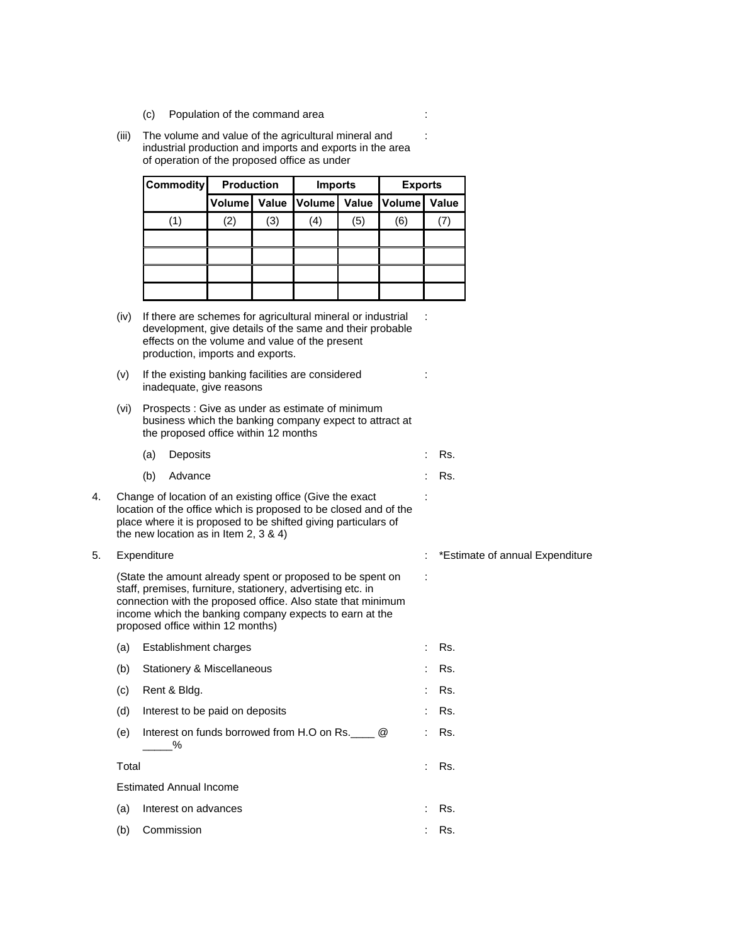- (c) Population of the command area :
- (iii) The volume and value of the agricultural mineral and industrial production and imports and exports in the area of operation of the proposed office as under

| <b>Commodity</b> | <b>Production</b> |       | <b>Imports</b> |       | <b>Exports</b> |              |
|------------------|-------------------|-------|----------------|-------|----------------|--------------|
|                  | <b>Volume</b>     | Value | Volume         | Value | Volume         | <b>Value</b> |
| (1)              | (2)               | (3)   | (4)            | (5)   | (6)            |              |
|                  |                   |       |                |       |                |              |
|                  |                   |       |                |       |                |              |
|                  |                   |       |                |       |                |              |
|                  |                   |       |                |       |                |              |

- (iv) If there are schemes for agricultural mineral or industrial development, give details of the same and their probable effects on the volume and value of the present production, imports and exports.
- (v) If the existing banking facilities are considered inadequate, give reasons
- (vi) Prospects : Give as under as estimate of minimum business which the banking company expect to attract at the proposed office within 12 months
	- (a) Deposits : Rs.
	- (b) Advance : Rs.
- 4. Change of location of an existing office (Give the exact location of the office which is proposed to be closed and of the place where it is proposed to be shifted giving particulars of the new location as in Item 2, 3 & 4)
- 

(State the amount already spent or proposed to be spent on staff, premises, furniture, stationery, advertising etc. in connection with the proposed office. Also state that minimum income which the banking company expects to earn at the proposed office within 12 months)

- (a) Establishment charges : Rs. (b) Stationery & Miscellaneous : Rs. (c) Rent & Bldg.  $\therefore$  Rs. (d) Interest to be paid on deposits : Rs. (e) Interest on funds borrowed from H.O on Rs.\_\_\_\_ @  $\frac{9}{6}$ : Rs. Total : Rs. Estimated Annual Income (a) Interest on advances : Rs.
- (b) Commission : Rs.

5. Expenditure  $\qquad \qquad$  Estimate of annual Expenditure

:

:

:

:

: